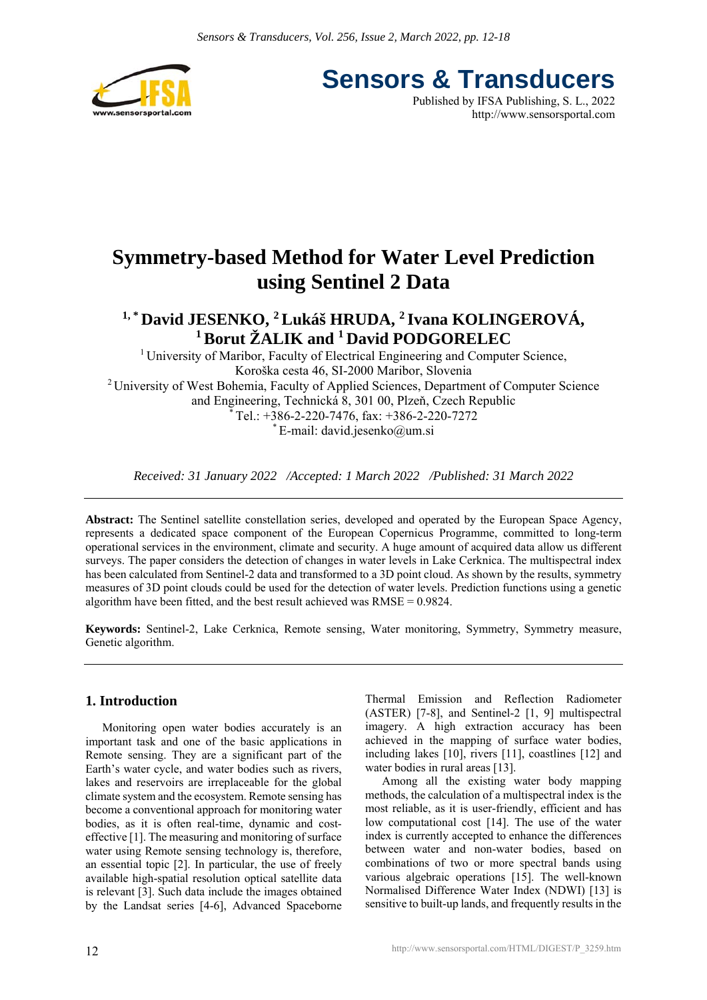



# **Symmetry-based Method for Water Level Prediction using Sentinel 2 Data**

# <sup>1,\*</sup> David JESENKO, <sup>2</sup> Lukáš HRUDA, <sup>2</sup> Ivana KOLINGEROVÁ, **1 Borut ŽALIK and 1 David PODGORELEC**

<sup>1</sup> University of Maribor, Faculty of Electrical Engineering and Computer Science, Koroška cesta 46, SI-2000 Maribor, Slovenia 2 University of West Bohemia, Faculty of Applied Sciences, Department of Computer Science and Engineering, Technická 8, 301 00, Plzeň, Czech Republic Tel.: +386-2-220-7476, fax: +386-2-220-7272 \* E-mail: david.jesenko@um.si

*Received: 31 January 2022 /Accepted: 1 March 2022 /Published: 31 March 2022* 

**Abstract:** The Sentinel satellite constellation series, developed and operated by the European Space Agency, represents a dedicated space component of the European Copernicus Programme, committed to long-term operational services in the environment, climate and security. A huge amount of acquired data allow us different surveys. The paper considers the detection of changes in water levels in Lake Cerknica. The multispectral index has been calculated from Sentinel-2 data and transformed to a 3D point cloud. As shown by the results, symmetry measures of 3D point clouds could be used for the detection of water levels. Prediction functions using a genetic algorithm have been fitted, and the best result achieved was RMSE = 0.9824.

**Keywords:** Sentinel-2, Lake Cerknica, Remote sensing, Water monitoring, Symmetry, Symmetry measure, Genetic algorithm.

## **1. Introduction**

Monitoring open water bodies accurately is an important task and one of the basic applications in Remote sensing. They are a significant part of the Earth's water cycle, and water bodies such as rivers, lakes and reservoirs are irreplaceable for the global climate system and the ecosystem. Remote sensing has become a conventional approach for monitoring water bodies, as it is often real-time, dynamic and costeffective [1]. The measuring and monitoring of surface water using Remote sensing technology is, therefore, an essential topic [2]. In particular, the use of freely available high-spatial resolution optical satellite data is relevant [3]. Such data include the images obtained by the Landsat series [4-6], Advanced Spaceborne Thermal Emission and Reflection Radiometer (ASTER) [7-8], and Sentinel-2 [1, 9] multispectral imagery. A high extraction accuracy has been achieved in the mapping of surface water bodies, including lakes [10], rivers [11], coastlines [12] and water bodies in rural areas [13].

Among all the existing water body mapping methods, the calculation of a multispectral index is the most reliable, as it is user-friendly, efficient and has low computational cost [14]. The use of the water index is currently accepted to enhance the differences between water and non-water bodies, based on combinations of two or more spectral bands using various algebraic operations [15]. The well-known Normalised Difference Water Index (NDWI) [13] is sensitive to built-up lands, and frequently results in the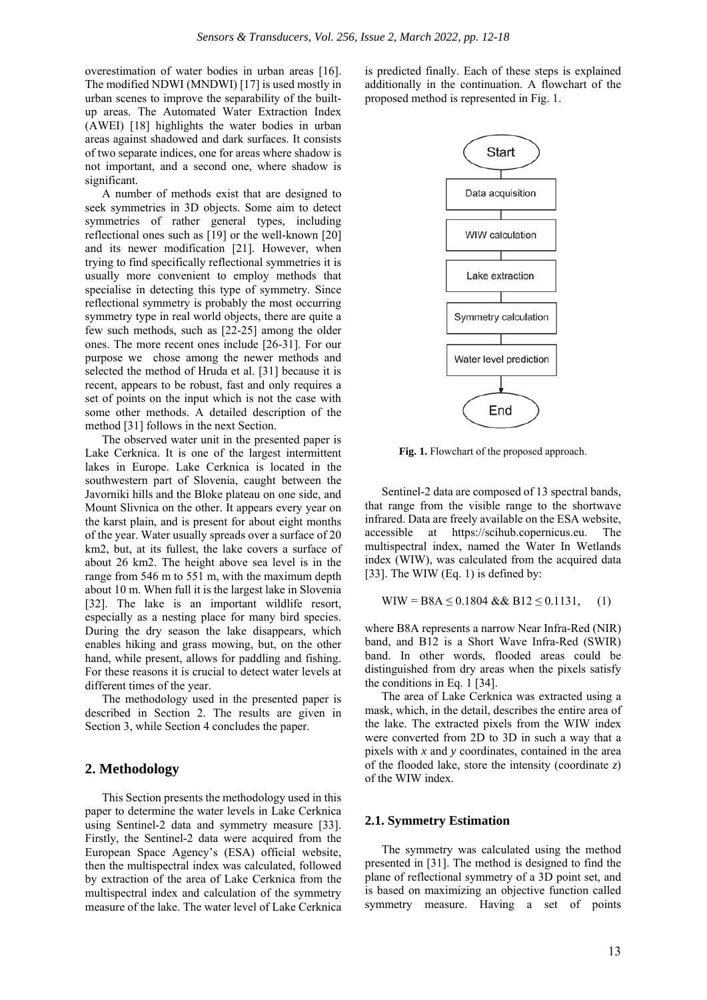overestimation of water bodies in urban areas [16]. The modified NDWI (MNDWI) [17] is used mostly in urban scenes to improve the separability of the builtup areas. The Automated Water Extraction Index (AWEI) [18] highlights the water bodies in urban areas against shadowed and dark surfaces. It consists of two separate indices, one for areas where shadow is not important, and a second one, where shadow is significant.

A number of methods exist that are designed to seek symmetries in 3D objects. Some aim to detect symmetries of rather general types, including reflectional ones such as [19] or the well-known [20] and its newer modification [21]. However, when trying to find specifically reflectional symmetries it is usually more convenient to employ methods that specialise in detecting this type of symmetry. Since reflectional symmetry is probably the most occurring symmetry type in real world objects, there are quite a few such methods, such as [22-25] among the older ones. The more recent ones include [26-31]. For our purpose we chose among the newer methods and selected the method of Hruda et al. [31] because it is recent, appears to be robust, fast and only requires a set of points on the input which is not the case with some other methods. A detailed description of the method [31] follows in the next Section.

The observed water unit in the presented paper is Lake Cerknica. It is one of the largest intermittent lakes in Europe. Lake Cerknica is located in the southwestern part of Slovenia, caught between the Javorniki hills and the Bloke plateau on one side, and Mount Slivnica on the other. It appears every year on the karst plain, and is present for about eight months of the year. Water usually spreads over a surface of 20 km2, but, at its fullest, the lake covers a surface of about 26 km2. The height above sea level is in the range from 546 m to 551 m, with the maximum depth about 10 m. When full it is the largest lake in Slovenia [32]. The lake is an important wildlife resort, especially as a nesting place for many bird species. During the dry season the lake disappears, which enables hiking and grass mowing, but, on the other hand, while present, allows for paddling and fishing. For these reasons it is crucial to detect water levels at different times of the year.

The methodology used in the presented paper is described in Section 2. The results are given in Section 3, while Section 4 concludes the paper.

#### **2. Methodology**

This Section presents the methodology used in this paper to determine the water levels in Lake Cerknica using Sentinel-2 data and symmetry measure [33]. Firstly, the Sentinel-2 data were acquired from the European Space Agency's (ESA) official website, then the multispectral index was calculated, followed by extraction of the area of Lake Cerknica from the multispectral index and calculation of the symmetry measure of the lake. The water level of Lake Cerknica

is predicted finally. Each of these steps is explained additionally in the continuation. A flowchart of the proposed method is represented in Fig. 1.



**Fig. 1.** Flowchart of the proposed approach.

Sentinel-2 data are composed of 13 spectral bands, that range from the visible range to the shortwave infrared. Data are freely available on the ESA website, accessible at https://scihub.copernicus.eu. The multispectral index, named the Water In Wetlands index (WIW), was calculated from the acquired data [33]. The WIW (Eq. 1) is defined by:

$$
WIW = B8A \le 0.1804 & & B12 \le 0.1131, \quad (1)
$$

where B8A represents a narrow Near Infra-Red (NIR) band, and B12 is a Short Wave Infra-Red (SWIR) band. In other words, flooded areas could be distinguished from dry areas when the pixels satisfy the conditions in Eq. 1 [34].

The area of Lake Cerknica was extracted using a mask, which, in the detail, describes the entire area of the lake. The extracted pixels from the WIW index were converted from 2D to 3D in such a way that a pixels with *x* and *y* coordinates, contained in the area of the flooded lake, store the intensity (coordinate *z*) of the WIW index.

#### **2.1. Symmetry Estimation**

The symmetry was calculated using the method presented in [31]. The method is designed to find the plane of reflectional symmetry of a 3D point set, and is based on maximizing an objective function called symmetry measure. Having a set of points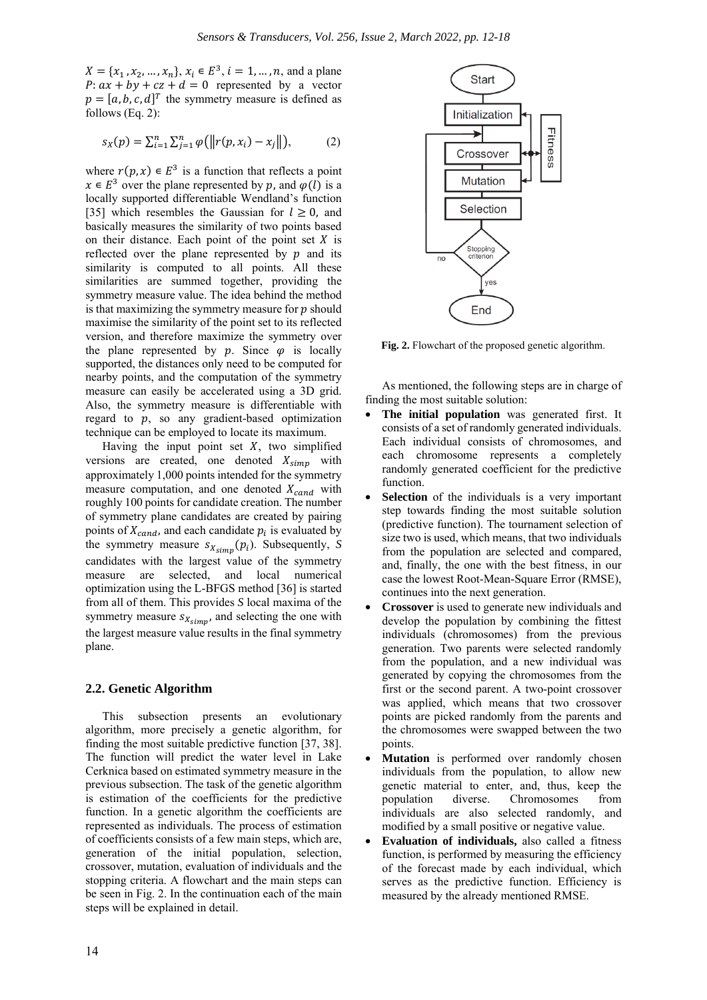$X = \{x_1, x_2, ..., x_n\}, x_i \in E^3, i = 1, ..., n$ , and a plane  $P: ax + by + cz + d = 0$  represented by a vector  $p = [a, b, c, d]^T$  the symmetry measure is defined as follows (Eq. 2):

$$
s_X(p) = \sum_{i=1}^n \sum_{j=1}^n \varphi(||r(p, x_i) - x_j||), \tag{2}
$$

where  $r(p, x) \in E^3$  is a function that reflects a point  $x \in E^3$  over the plane represented by p, and  $\varphi(\vec{l})$  is a locally supported differentiable Wendland's function [35] which resembles the Gaussian for  $l \geq 0$ , and basically measures the similarity of two points based on their distance. Each point of the point set  $X$  is reflected over the plane represented by  $p$  and its similarity is computed to all points. All these similarities are summed together, providing the symmetry measure value. The idea behind the method is that maximizing the symmetry measure for  $p$  should maximise the similarity of the point set to its reflected version, and therefore maximize the symmetry over the plane represented by  $p$ . Since  $\varphi$  is locally supported, the distances only need to be computed for nearby points, and the computation of the symmetry measure can easily be accelerated using a 3D grid. Also, the symmetry measure is differentiable with regard to  $p$ , so any gradient-based optimization technique can be employed to locate its maximum.

Having the input point set  $X$ , two simplified versions are created, one denoted  $X_{simp}$  with approximately 1,000 points intended for the symmetry measure computation, and one denoted  $X_{cand}$  with roughly 100 points for candidate creation. The number of symmetry plane candidates are created by pairing points of  $X_{cand}$ , and each candidate  $p_i$  is evaluated by the symmetry measure  $s_{X_{Simp}}(p_i)$ . Subsequently, *S* candidates with the largest value of the symmetry measure are selected, and local numerical optimization using the L-BFGS method [36] is started from all of them. This provides *S* local maxima of the symmetry measure  $s_{X_{simp}}$ , and selecting the one with the largest measure value results in the final symmetry plane.

#### **2.2. Genetic Algorithm**

This subsection presents an evolutionary algorithm, more precisely a genetic algorithm, for finding the most suitable predictive function [37, 38]. The function will predict the water level in Lake Cerknica based on estimated symmetry measure in the previous subsection. The task of the genetic algorithm is estimation of the coefficients for the predictive function. In a genetic algorithm the coefficients are represented as individuals. The process of estimation of coefficients consists of a few main steps, which are, generation of the initial population, selection, crossover, mutation, evaluation of individuals and the stopping criteria. A flowchart and the main steps can be seen in Fig. 2. In the continuation each of the main steps will be explained in detail.



**Fig. 2.** Flowchart of the proposed genetic algorithm.

As mentioned, the following steps are in charge of finding the most suitable solution:

- The initial population was generated first. It consists of a set of randomly generated individuals. Each individual consists of chromosomes, and each chromosome represents a completely randomly generated coefficient for the predictive function.
- **Selection** of the individuals is a very important step towards finding the most suitable solution (predictive function). The tournament selection of size two is used, which means, that two individuals from the population are selected and compared, and, finally, the one with the best fitness, in our case the lowest Root-Mean-Square Error (RMSE), continues into the next generation.
- **Crossover** is used to generate new individuals and develop the population by combining the fittest individuals (chromosomes) from the previous generation. Two parents were selected randomly from the population, and a new individual was generated by copying the chromosomes from the first or the second parent. A two-point crossover was applied, which means that two crossover points are picked randomly from the parents and the chromosomes were swapped between the two points.
- **Mutation** is performed over randomly chosen individuals from the population, to allow new genetic material to enter, and, thus, keep the population diverse. Chromosomes from individuals are also selected randomly, and modified by a small positive or negative value.
- **Evaluation of individuals,** also called a fitness function, is performed by measuring the efficiency of the forecast made by each individual, which serves as the predictive function. Efficiency is measured by the already mentioned RMSE.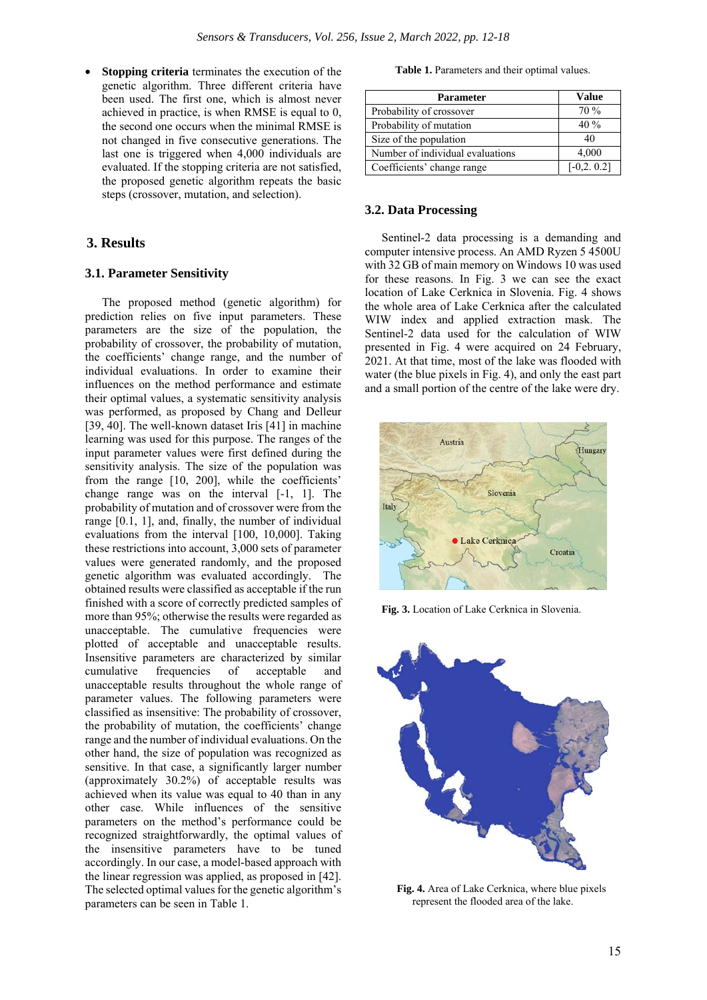• **Stopping criteria** terminates the execution of the genetic algorithm. Three different criteria have been used. The first one, which is almost never achieved in practice, is when RMSE is equal to 0, the second one occurs when the minimal RMSE is not changed in five consecutive generations. The last one is triggered when 4,000 individuals are evaluated. If the stopping criteria are not satisfied, the proposed genetic algorithm repeats the basic steps (crossover, mutation, and selection).

### **3. Results**

#### **3.1. Parameter Sensitivity**

The proposed method (genetic algorithm) for prediction relies on five input parameters. These parameters are the size of the population, the probability of crossover, the probability of mutation, the coefficients' change range, and the number of individual evaluations. In order to examine their influences on the method performance and estimate their optimal values, a systematic sensitivity analysis was performed, as proposed by Chang and Delleur [39, 40]. The well-known dataset Iris [41] in machine learning was used for this purpose. The ranges of the input parameter values were first defined during the sensitivity analysis. The size of the population was from the range [10, 200], while the coefficients' change range was on the interval [-1, 1]. The probability of mutation and of crossover were from the range [0.1, 1], and, finally, the number of individual evaluations from the interval [100, 10,000]. Taking these restrictions into account, 3,000 sets of parameter values were generated randomly, and the proposed genetic algorithm was evaluated accordingly. The obtained results were classified as acceptable if the run finished with a score of correctly predicted samples of more than 95%; otherwise the results were regarded as unacceptable. The cumulative frequencies were plotted of acceptable and unacceptable results. Insensitive parameters are characterized by similar cumulative frequencies of acceptable and unacceptable results throughout the whole range of parameter values. The following parameters were classified as insensitive: The probability of crossover, the probability of mutation, the coefficients' change range and the number of individual evaluations. On the other hand, the size of population was recognized as sensitive. In that case, a significantly larger number (approximately 30.2%) of acceptable results was achieved when its value was equal to 40 than in any other case. While influences of the sensitive parameters on the method's performance could be recognized straightforwardly, the optimal values of the insensitive parameters have to be tuned accordingly. In our case, a model-based approach with the linear regression was applied, as proposed in [42]. The selected optimal values for the genetic algorithm's parameters can be seen in Table 1.

**Table 1.** Parameters and their optimal values.

| <b>Parameter</b>                 | Value         |
|----------------------------------|---------------|
| Probability of crossover         | 70%           |
| Probability of mutation          | $40\%$        |
| Size of the population           | 40            |
| Number of individual evaluations | 4,000         |
| Coefficients' change range       | $[-0,2, 0.2]$ |

#### **3.2. Data Processing**

Sentinel-2 data processing is a demanding and computer intensive process. An AMD Ryzen 5 4500U with 32 GB of main memory on Windows 10 was used for these reasons. In Fig. 3 we can see the exact location of Lake Cerknica in Slovenia. Fig. 4 shows the whole area of Lake Cerknica after the calculated WIW index and applied extraction mask. The Sentinel-2 data used for the calculation of WIW presented in Fig. 4 were acquired on 24 February, 2021. At that time, most of the lake was flooded with water (the blue pixels in Fig. 4), and only the east part and a small portion of the centre of the lake were dry.



**Fig. 3.** Location of Lake Cerknica in Slovenia.



**Fig. 4.** Area of Lake Cerknica, where blue pixels represent the flooded area of the lake.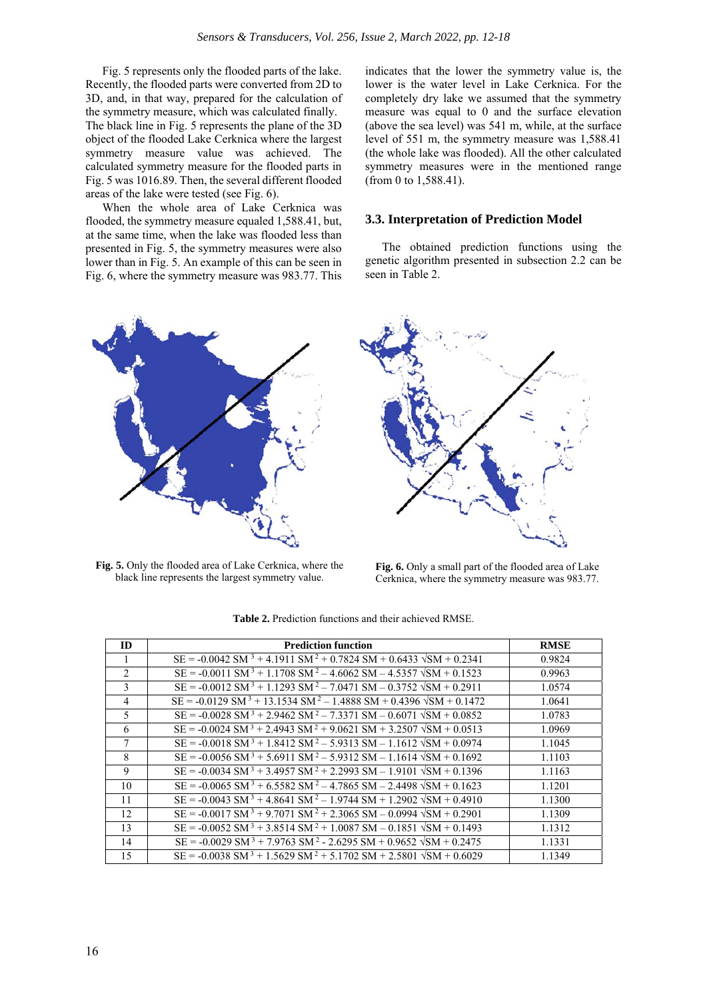Fig. 5 represents only the flooded parts of the lake. Recently, the flooded parts were converted from 2D to 3D, and, in that way, prepared for the calculation of the symmetry measure, which was calculated finally. The black line in Fig. 5 represents the plane of the 3D object of the flooded Lake Cerknica where the largest symmetry measure value was achieved. The calculated symmetry measure for the flooded parts in Fig. 5 was 1016.89. Then, the several different flooded areas of the lake were tested (see Fig. 6).

When the whole area of Lake Cerknica was flooded, the symmetry measure equaled 1,588.41, but, at the same time, when the lake was flooded less than presented in Fig. 5, the symmetry measures were also lower than in Fig. 5. An example of this can be seen in Fig. 6, where the symmetry measure was 983.77. This indicates that the lower the symmetry value is, the lower is the water level in Lake Cerknica. For the completely dry lake we assumed that the symmetry measure was equal to 0 and the surface elevation (above the sea level) was 541 m, while, at the surface level of 551 m, the symmetry measure was 1,588.41 (the whole lake was flooded). All the other calculated symmetry measures were in the mentioned range (from 0 to 1,588.41).

#### **3.3. Interpretation of Prediction Model**

The obtained prediction functions using the genetic algorithm presented in subsection 2.2 can be seen in Table 2.



**Fig. 5.** Only the flooded area of Lake Cerknica, where the black line represents the largest symmetry value.



**Fig. 6.** Only a small part of the flooded area of Lake Cerknica, where the symmetry measure was 983.77.

| ID             | <b>Prediction function</b>                                                                         | <b>RMSE</b> |
|----------------|----------------------------------------------------------------------------------------------------|-------------|
|                |                                                                                                    |             |
| 1              | $SE = -0.0042$ SM $3 + 4.1911$ SM $2 + 0.7824$ SM + 0.6433 $\sqrt{SM}$ + 0.2341                    | 0.9824      |
| $\mathcal{L}$  | $SE = -0.0011 SM^3 + 1.1708 SM^2 - 4.6062 SM - 4.5357 \sqrt{SM} + 0.1523$                          | 0.9963      |
| 3              | $SE = -0.0012 SM^3 + 1.1293 SM^2 - 7.0471 SM - 0.3752 NSM + 0.2911$                                | 1.0574      |
| $\overline{4}$ | $SE = -0.0129 \text{ SM}^3 + 13.1534 \text{ SM}^2 - 1.4888 \text{ SM} + 0.4396 \sqrt{SM} + 0.1472$ | 1.0641      |
| 5              | $SE = -0.0028 \text{ SM}^3 + 2.9462 \text{ SM}^2 - 7.3371 \text{ SM} - 0.6071 \sqrt{SM} + 0.0852$  | 1.0783      |
| 6              | $SE = -0.0024 SM^3 + 2.4943 SM^2 + 9.0621 SM + 3.2507 VSM + 0.0513$                                | 1.0969      |
| 7              | $SE = -0.0018 SM^3 + 1.8412 SM^2 - 5.9313 SM - 1.1612 VSM + 0.0974$                                | 1.1045      |
| 8              | $SE = -0.0056 SM^3 + 5.6911 SM^2 - 5.9312 SM - 1.1614 VSM + 0.1692$                                | 1.1103      |
| 9              | $SE = -0.0034 SM^3 + 3.4957 SM^2 + 2.2993 SM - 1.9101 VSM + 0.1396$                                | 1.1163      |
| 10             | $SE = -0.0065 SM^3 + 6.5582 SM^2 - 4.7865 SM - 2.4498 VSM + 0.1623$                                | 1.1201      |
| 11             | $SE = -0.0043 SM^3 + 4.8641 SM^2 - 1.9744 SM + 1.2902 VSM + 0.4910$                                | 1.1300      |
| 12             | $SE = -0.0017 SM^3 + 9.7071 SM^2 + 2.3065 SM - 0.0994 VSM + 0.2901$                                | 1.1309      |
| 13             | $SE = -0.0052 SM^3 + 3.8514 SM^2 + 1.0087 SM - 0.1851 VSM + 0.1493$                                | 1.1312      |
| 14             | $SE = -0.0029$ SM <sup>3</sup> + 7.9763 SM <sup>2</sup> - 2.6295 SM + 0.9652 $\sqrt{SM}$ + 0.2475  | 1.1331      |
| 15             | $SE = -0.0038 \text{ SM}^3 + 1.5629 \text{ SM}^2 + 5.1702 \text{ SM} + 2.5801 \sqrt{SM} + 0.6029$  | 1.1349      |

**Table 2.** Prediction functions and their achieved RMSE.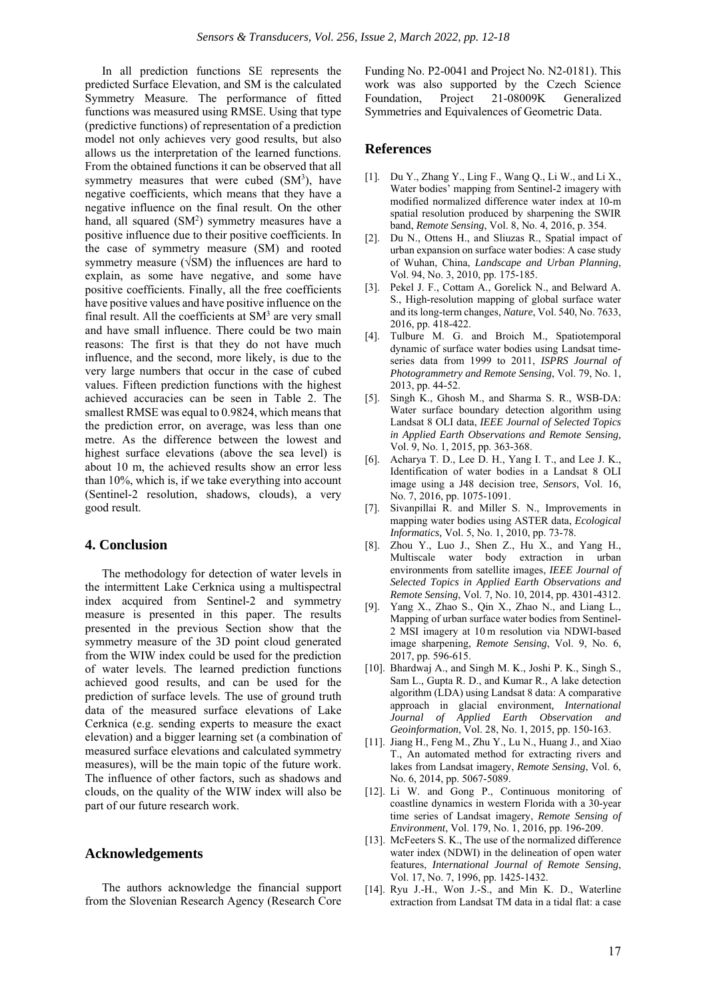In all prediction functions SE represents the predicted Surface Elevation, and SM is the calculated Symmetry Measure. The performance of fitted functions was measured using RMSE. Using that type (predictive functions) of representation of a prediction model not only achieves very good results, but also allows us the interpretation of the learned functions. From the obtained functions it can be observed that all symmetry measures that were cubed  $(SM<sup>3</sup>)$ , have negative coefficients, which means that they have a negative influence on the final result. On the other hand, all squared  $(SM<sup>2</sup>)$  symmetry measures have a positive influence due to their positive coefficients. In the case of symmetry measure (SM) and rooted symmetry measure (√SM) the influences are hard to explain, as some have negative, and some have positive coefficients. Finally, all the free coefficients have positive values and have positive influence on the final result. All the coefficients at  $SM<sup>3</sup>$  are very small and have small influence. There could be two main reasons: The first is that they do not have much influence, and the second, more likely, is due to the very large numbers that occur in the case of cubed values. Fifteen prediction functions with the highest achieved accuracies can be seen in Table 2. The smallest RMSE was equal to 0.9824, which means that the prediction error, on average, was less than one metre. As the difference between the lowest and highest surface elevations (above the sea level) is about 10 m, the achieved results show an error less than 10%, which is, if we take everything into account (Sentinel-2 resolution, shadows, clouds), a very good result.

#### **4. Conclusion**

The methodology for detection of water levels in the intermittent Lake Cerknica using a multispectral index acquired from Sentinel-2 and symmetry measure is presented in this paper. The results presented in the previous Section show that the symmetry measure of the 3D point cloud generated from the WIW index could be used for the prediction of water levels. The learned prediction functions achieved good results, and can be used for the prediction of surface levels. The use of ground truth data of the measured surface elevations of Lake Cerknica (e.g. sending experts to measure the exact elevation) and a bigger learning set (a combination of measured surface elevations and calculated symmetry measures), will be the main topic of the future work. The influence of other factors, such as shadows and clouds, on the quality of the WIW index will also be part of our future research work.

#### **Acknowledgements**

The authors acknowledge the financial support from the Slovenian Research Agency (Research Core

Funding No. P2-0041 and Project No. N2-0181). This work was also supported by the Czech Science Foundation, Project 21-08009K Generalized Symmetries and Equivalences of Geometric Data.

#### **References**

- [1]. Du Y., Zhang Y., Ling F., Wang Q., Li W., and Li X., Water bodies' mapping from Sentinel-2 imagery with modified normalized difference water index at 10-m spatial resolution produced by sharpening the SWIR band, *Remote Sensing*, Vol. 8, No. 4, 2016, p. 354.
- [2]. Du N., Ottens H., and Sliuzas R., Spatial impact of urban expansion on surface water bodies: A case study of Wuhan, China, *Landscape and Urban Planning*, Vol. 94, No. 3, 2010, pp. 175-185.
- [3]. Pekel J. F., Cottam A., Gorelick N., and Belward A. S., High-resolution mapping of global surface water and its long-term changes, *Nature*, Vol. 540, No. 7633, 2016, pp. 418-422.
- [4]. Tulbure M. G. and Broich M., Spatiotemporal dynamic of surface water bodies using Landsat timeseries data from 1999 to 2011, *ISPRS Journal of Photogrammetry and Remote Sensing*, Vol. 79, No. 1, 2013, pp. 44-52.
- [5]. Singh K., Ghosh M., and Sharma S. R., WSB-DA: Water surface boundary detection algorithm using Landsat 8 OLI data, *IEEE Journal of Selected Topics in Applied Earth Observations and Remote Sensing,* Vol. 9, No. 1, 2015, pp. 363-368.
- [6]. Acharya T. D., Lee D. H., Yang I. T., and Lee J. K., Identification of water bodies in a Landsat 8 OLI image using a J48 decision tree, *Sensors*, Vol. 16, No. 7, 2016, pp. 1075-1091.
- [7]. Sivanpillai R. and Miller S. N., Improvements in mapping water bodies using ASTER data, *Ecological Informatics,* Vol. 5, No. 1, 2010, pp. 73-78.
- [8]. Zhou Y., Luo J., Shen Z., Hu X., and Yang H., Multiscale water body extraction in urban environments from satellite images, *IEEE Journal of Selected Topics in Applied Earth Observations and Remote Sensing*, Vol. 7, No. 10, 2014, pp. 4301-4312.
- [9]. Yang X., Zhao S., Qin X., Zhao N., and Liang L., Mapping of urban surface water bodies from Sentinel-2 MSI imagery at 10 m resolution via NDWI-based image sharpening, *Remote Sensing*, Vol. 9, No. 6, 2017, pp. 596-615.
- [10]. Bhardwaj A., and Singh M. K., Joshi P. K., Singh S., Sam L., Gupta R. D., and Kumar R., A lake detection algorithm (LDA) using Landsat 8 data: A comparative approach in glacial environment*, International Journal of Applied Earth Observation and Geoinformation*, Vol. 28, No. 1, 2015, pp. 150-163.
- [11]. Jiang H., Feng M., Zhu Y., Lu N., Huang J., and Xiao T., An automated method for extracting rivers and lakes from Landsat imagery, *Remote Sensing*, Vol. 6, No. 6, 2014, pp. 5067-5089.
- [12]. Li W. and Gong P., Continuous monitoring of coastline dynamics in western Florida with a 30-year time series of Landsat imagery, *Remote Sensing of Environment*, Vol. 179, No. 1, 2016, pp. 196-209.
- [13]. McFeeters S. K., The use of the normalized difference water index (NDWI) in the delineation of open water features, *International Journal of Remote Sensing*, Vol. 17, No. 7, 1996, pp. 1425-1432.
- [14]. Ryu J.-H., Won J.-S., and Min K. D., Waterline extraction from Landsat TM data in a tidal flat: a case